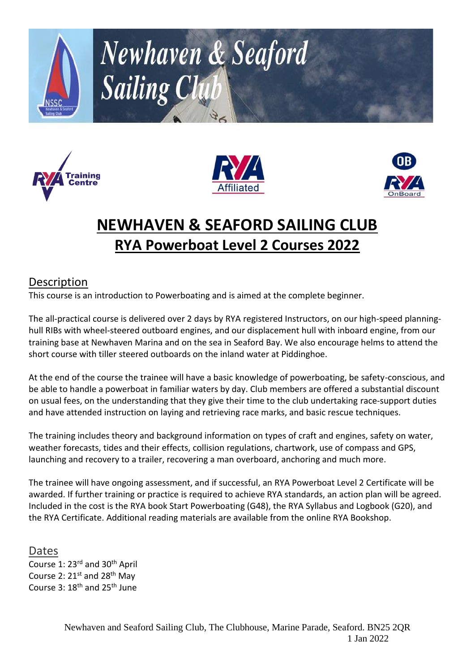







# **NEWHAVEN & SEAFORD SAILING CLUB RYA Powerboat Level 2 Courses 2022**

## **Description**

This course is an introduction to Powerboating and is aimed at the complete beginner.

The all-practical course is delivered over 2 days by RYA registered Instructors, on our high-speed planninghull RIBs with wheel-steered outboard engines, and our displacement hull with inboard engine, from our training base at Newhaven Marina and on the sea in Seaford Bay. We also encourage helms to attend the short course with tiller steered outboards on the inland water at Piddinghoe.

At the end of the course the trainee will have a basic knowledge of powerboating, be safety-conscious, and be able to handle a powerboat in familiar waters by day. Club members are offered a substantial discount on usual fees, on the understanding that they give their time to the club undertaking race-support duties and have attended instruction on laying and retrieving race marks, and basic rescue techniques.

The training includes theory and background information on types of craft and engines, safety on water, weather forecasts, tides and their effects, collision regulations, chartwork, use of compass and GPS, launching and recovery to a trailer, recovering a man overboard, anchoring and much more.

The trainee will have ongoing assessment, and if successful, an RYA Powerboat Level 2 Certificate will be awarded. If further training or practice is required to achieve RYA standards, an action plan will be agreed. Included in the cost is the RYA book Start Powerboating (G48), the RYA Syllabus and Logbook (G20), and the RYA Certificate. Additional reading materials are available from the online RYA Bookshop.

Dates Course 1: 23rd and 30th April Course 2:  $21^{st}$  and  $28^{th}$  May Course 3: 18th and 25th June